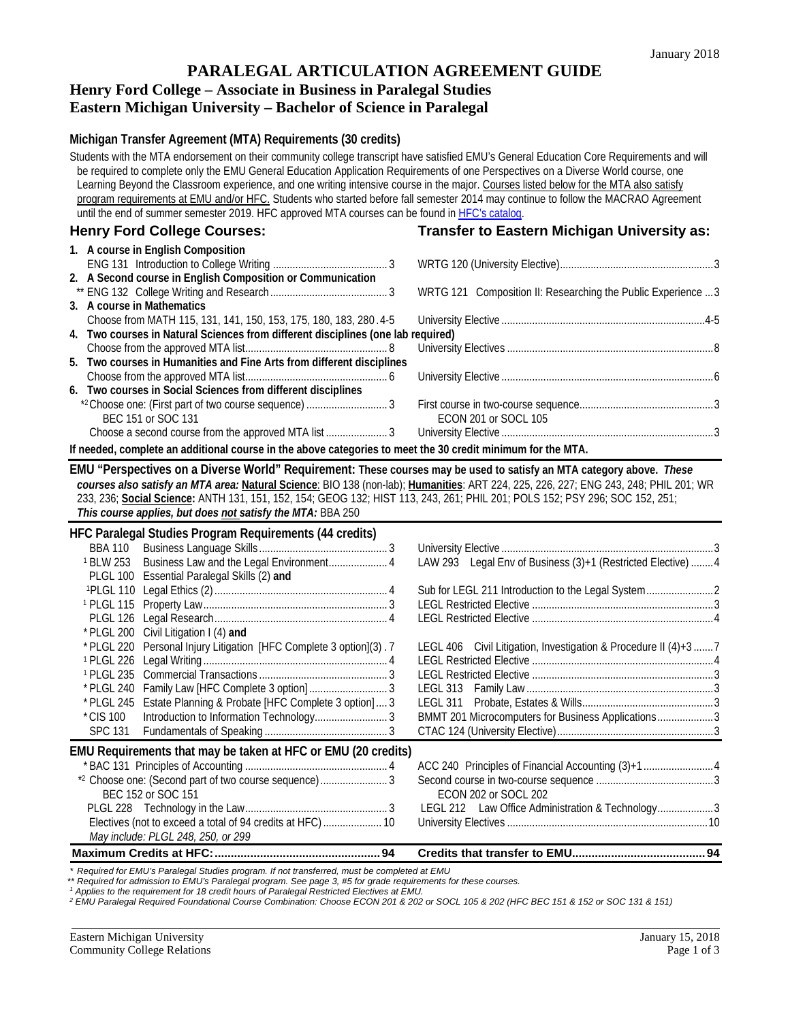## **PARALEGAL ARTICULATION AGREEMENT GUIDE**

# **Henry Ford College – Associate in Business in Paralegal Studies**

# **Eastern Michigan University – Bachelor of Science in Paralegal**

#### **Michigan Transfer Agreement (MTA) Requirements (30 credits)**

Students with the MTA endorsement on their community college transcript have satisfied EMU's General Education Core Requirements and will be required to complete only the EMU General Education Application Requirements of one Perspectives on a Diverse World course, one Learning Beyond the Classroom experience, and one writing intensive course in the major. Courses listed below for the MTA also satisfy program requirements at EMU and/or HFC. Students who started before fall semester 2014 may continue to follow the MACRAO Agreement until the end of summer semester 2019. HFC approved MTA courses can be found i[n HFC's catalog.](https://catalog.hfcc.edu/degrees/gen-ed) **Henry Ford College Courses: Transfer to Eastern Michigan University as: 1. A course in English Composition** ENG 131 Introduction to College Writing ......................................... 3 WRTG 120 (University Elective).......................................................3 **2. A Second course in English Composition or Communication** \*\* ENG 132 College Writing and Research.......................................... 3 WRTG 121 Composition II: Researching the Public Experience ...3 **3. A course in Mathematics** Choose from MATH 115, 131, 141, 150, 153, 175, 180, 183, 280 .4-5 University Elective .........................................................................4-5 **4. Two courses in Natural Sciences from different disciplines (one lab required)** Choose from the approved MTA list................................................... 8 University Electives ..........................................................................8 **5. Two courses in Humanities and Fine Arts from different disciplines** Choose from the approved MTA list................................................... 6 University Elective ............................................................................6 **6. Two courses in Social Sciences from different disciplines** \*2Choose one: (First part of two course sequence) ............................. 3 First course in two-course sequence................................................3 BEC 151 or SOC 131 ECON 201 or SOCL 105 Choose a second course from the approved MTA list ...................... 3 University Elective ............................................................................3 **If needed, complete an additional course in the above categories to meet the 30 credit minimum for the MTA. EMU "Perspectives on a Diverse World" Requirement: These courses may be used to satisfy an MTA category above.** *These courses also satisfy an MTA area:* **Natural Science**: BIO 138 (non-lab); **Humanities**: ART 224, 225, 226, 227; ENG 243, 248; PHIL 201; WR 233, 236; **Social Science:** ANTH 131, 151, 152, 154; GEOG 132; HIST 113, 243, 261; PHIL 201; POLS 152; PSY 296; SOC 152, 251; *This course applies, but does not satisfy the MTA:* BBA 250 **HFC Paralegal Studies Program Requirements (44 credits)** BBA 110 Business Language Skills .............................................. 3 University Elective ............................................................................3 <sup>1</sup> BLW 253 Business Law and the Legal Environment................................ PLGL 100 Essential Paralegal Skills (2) **and** 1PLGL 110 Legal Ethics (2).............................................................. 4 Sub for LEGL 211 Introduction to the Legal System........................2 1 PLGL 115 Property Law.................................................................. 3 LEGL Restricted Elective .................................................................3 PLGL 126 Legal Research.............................................................. 4 LEGL Restricted Elective .................................................................4 \* PLGL 200 Civil Litigation I (4) **and** \* PLGL 220 Personal Injury Litigation [HFC Complete 3 option](3) . 7 LEGL 406 Civil Litigation, Investigation & Procedure II (4)+3 .......7 <sup>1</sup> PLGL 226 Legal Writing .................................................................. <sup>4</sup> LEGL Restricted Elective .................................................................4 1 PLGL 235 Commercial Transactions .............................................. <sup>3</sup> LEGL Restricted Elective .................................................................3 \* PLGL 240 Family Law [HFC Complete 3 option] ............................ 3 LEGL 313 Family Law...................................................................3 \* PLGL 245 Estate Planning & Probate [HFC Complete 3 option] .... 3<br>\* CIS 100 Introduction to Information Technology................................ \*CIS 100 Introduction to Information Technology.......................... 3 BMMT 201 Microcomputers for Business Applications....................3 SPC 131 Fundamentals of Speaking ............................................ 3 CTAC 124 (University Elective)........................................................3 **EMU Requirements that may be taken at HFC or EMU (20 credits)** \* BAC 131 Principles of Accounting ................................................... 4 ACC 240 Principles of Financial Accounting (3)+1.........................4 \*2 Choose one: (Second part of two course sequence)..............................<br>BEC 152 or SOC 151 ECON 202 or SOCL 202<br>LEGL 212 Law Office Administration & Technology.....................3 PLGL 228 Technology in the Law................................................... 3 LEGL 212 Law Office Administration & Technology....................3 Electives (not to exceed a total of 94 credits at HFC)........................... *May include: PLGL 248, 250, or 299*

**Maximum Credits at HFC:...................................................94 Credits that transfer to EMU.........................................94**

*\* Required for EMU's Paralegal Studies program. If not transferred, must be completed at EMU*

\*\* Required for admission to EMU's Paralegal program. See page 3, #5 for grade requirements for these courses.<br><sup>1</sup> Applies to the requirement for 18 credit hours of Paralegal Restricted Electives at EMU.

*<sup>2</sup> EMU Paralegal Required Foundational Course Combination: Choose ECON 201 & 202 or SOCL 105 & 202 (HFC BEC 151 & 152 or SOC 131 & 151)*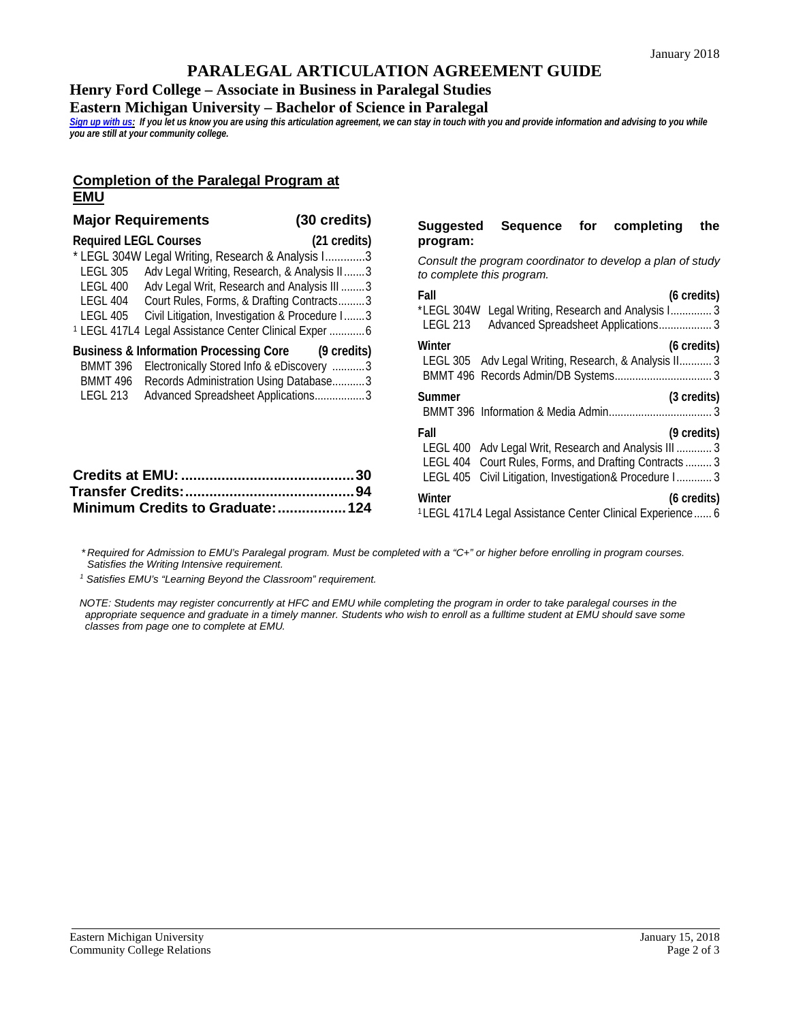## **PARALEGAL ARTICULATION AGREEMENT GUIDE**

**Henry Ford College – Associate in Business in Paralegal Studies**

**Eastern Michigan University – Bachelor of Science in Paralegal**

*[Sign up with us:](http://www.emich.edu/ccr/articulation-agreements/signup.php) If you let us know you are using this articulation agreement, we can stay in touch with you and provide information and advising to you while you are still at your community college.*

#### **Completion of the Paralegal Program at EMU**

| <b>Major Requirements</b>                           |                                                                                                                                                                                                                                                                                                                     | (30 credits) | Suggested                                                                                          | Sequer     |
|-----------------------------------------------------|---------------------------------------------------------------------------------------------------------------------------------------------------------------------------------------------------------------------------------------------------------------------------------------------------------------------|--------------|----------------------------------------------------------------------------------------------------|------------|
| <b>Required LEGL Courses</b>                        |                                                                                                                                                                                                                                                                                                                     | (21 credits) | program:                                                                                           |            |
| <b>LEGL 305</b><br>LEGL 400<br>LEGL 404<br>LEGL 405 | * LEGL 304W Legal Writing, Research & Analysis I3<br>Adv Legal Writing, Research, & Analysis II3<br>Adv Legal Writ, Research and Analysis III 3<br>Court Rules, Forms, & Drafting Contracts3<br>Civil Litigation, Investigation & Procedure I3<br><sup>1</sup> LEGL 417L4 Legal Assistance Center Clinical Exper  6 |              | Consult the program coo<br>to complete this program<br>Fall<br>*LEGL 304W Legal Writin<br>LEGL 213 | Advanced S |
| BMMT 396<br>BMMT 496                                | Business & Information Processing Core (9 credits)<br>Electronically Stored Info & eDiscovery 3<br>Records Administration Using Database3<br>Advanced Spreadsheet Applications3                                                                                                                                     |              | Winter<br>LEGL 305 Adv Legal Wr<br>BMMT 496 Records Adm                                            |            |
| LEGL 213                                            |                                                                                                                                                                                                                                                                                                                     |              | Summer<br>BMMT 396 Information &                                                                   |            |
|                                                     |                                                                                                                                                                                                                                                                                                                     | 30           | Fall<br>LEGL 400 Adv Legal Wri<br>LEGL 404 Court Rules, F<br>LEGL 405 Civil Litigation             |            |
|                                                     | Minimum Credits to Graduate:                                                                                                                                                                                                                                                                                        | 94<br>124    | Winter<br>11 FGL 417L4 Legal Assista                                                               |            |

# **Suggested Sequence for completing the**

*Consult the program coordinator to develop a plan of study to complete this program.*

| Fall<br>(6 credits)                                                   |  |  |  |  |
|-----------------------------------------------------------------------|--|--|--|--|
| *LEGL 304W<br>Legal Writing, Research and Analysis I 3                |  |  |  |  |
| <b>LEGL 213</b><br>Advanced Spreadsheet Applications 3                |  |  |  |  |
| Winter<br>(6 credits)                                                 |  |  |  |  |
| LEGL 305 Adv Legal Writing, Research, & Analysis II 3                 |  |  |  |  |
|                                                                       |  |  |  |  |
| (3 credits)<br>Summer                                                 |  |  |  |  |
|                                                                       |  |  |  |  |
| Fall<br>(9 credits)                                                   |  |  |  |  |
| LEGL 400 Adv Legal Writ, Research and Analysis III  3                 |  |  |  |  |
| LEGL 404 Court Rules, Forms, and Drafting Contracts  3                |  |  |  |  |
| LEGL 405 Civil Litigation, Investigation& Procedure I 3               |  |  |  |  |
| Winter<br>(6 credits)                                                 |  |  |  |  |
| <sup>1</sup> LEGL 417L4 Legal Assistance Center Clinical Experience 6 |  |  |  |  |

*\* Required for Admission to EMU's Paralegal program. Must be completed with a "C+" or higher before enrolling in program courses. Satisfies the Writing Intensive requirement.*

*<sup>1</sup> Satisfies EMU's "Learning Beyond the Classroom" requirement.*

*NOTE: Students may register concurrently at HFC and EMU while completing the program in order to take paralegal courses in the appropriate sequence and graduate in a timely manner. Students who wish to enroll as a fulltime student at EMU should save some classes from page one to complete at EMU.*